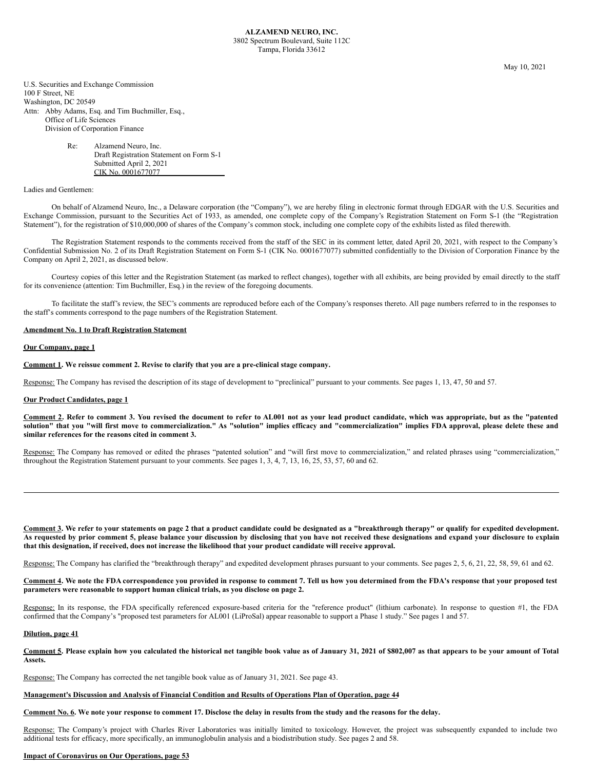May 10, 2021

U.S. Securities and Exchange Commission 100 F Street, NE Washington, DC 20549 Attn: Abby Adams, Esq. and Tim Buchmiller, Esq., Office of Life Sciences Division of Corporation Finance

# Re: Alzamend Neuro, Inc. Draft Registration Statement on Form S-1 Submitted April 2, 2021 CIK No. 0001677077

# Ladies and Gentlemen:

On behalf of Alzamend Neuro, Inc., a Delaware corporation (the "Company"), we are hereby filing in electronic format through EDGAR with the U.S. Securities and Exchange Commission, pursuant to the Securities Act of 1933, as amended, one complete copy of the Company's Registration Statement on Form S-1 (the "Registration Statement"), for the registration of \$10,000,000 of shares of the Company's common stock, including one complete copy of the exhibits listed as filed therewith.

The Registration Statement responds to the comments received from the staff of the SEC in its comment letter, dated April 20, 2021, with respect to the Company's Confidential Submission No. 2 of its Draft Registration Statement on Form S-1 (CIK No. 0001677077) submitted confidentially to the Division of Corporation Finance by the Company on April 2, 2021, as discussed below.

Courtesy copies of this letter and the Registration Statement (as marked to reflect changes), together with all exhibits, are being provided by email directly to the staff for its convenience (attention: Tim Buchmiller, Esq.) in the review of the foregoing documents.

To facilitate the staff's review, the SEC's comments are reproduced before each of the Company's responses thereto. All page numbers referred to in the responses to the staff's comments correspond to the page numbers of the Registration Statement.

### **Amendment No. 1 to Draft Registration Statement**

### **Our Company, page 1**

**Comment 1. We reissue comment 2. Revise to clarify that you are a pre-clinical stage company.**

Response: The Company has revised the description of its stage of development to "preclinical" pursuant to your comments. See pages 1, 13, 47, 50 and 57.

# **Our Product Candidates, page 1**

Comment 2. Refer to comment 3. You revised the document to refer to AL001 not as your lead product candidate, which was appropriate, but as the "patented solution" that you "will first move to commercialization." As "solution" implies efficacy and "commercialization" implies FDA approval, please delete these and **similar references for the reasons cited in comment 3.**

Response: The Company has removed or edited the phrases "patented solution" and "will first move to commercialization," and related phrases using "commercialization," throughout the Registration Statement pursuant to your comments. See pages 1, 3, 4, 7, 13, 16, 25, 53, 57, 60 and 62.

Comment 3. We refer to your statements on page 2 that a product candidate could be designated as a "breakthrough therapy" or qualify for expedited development. As requested by prior comment 5, please balance your discussion by disclosing that you have not received these designations and expand your disclosure to explain that this designation, if received, does not increase the likelihood that your product candidate will receive approval.

Response: The Company has clarified the "breakthrough therapy" and expedited development phrases pursuant to your comments. See pages 2, 5, 6, 21, 22, 58, 59, 61 and 62.

Comment 4. We note the FDA correspondence you provided in response to comment 7. Tell us how you determined from the FDA's response that your proposed test **parameters were reasonable to support human clinical trials, as you disclose on page 2.**

Response: In its response, the FDA specifically referenced exposure-based criteria for the "reference product" (lithium carbonate). In response to question #1, the FDA confirmed that the Company's "proposed test parameters for AL001 (LiProSal) appear reasonable to support a Phase 1 study." See pages 1 and 57.

#### **Dilution, page 41**

Comment 5. Please explain how you calculated the historical net tangible book value as of January 31, 2021 of \$802,007 as that appears to be your amount of Total **Assets.**

Response: The Company has corrected the net tangible book value as of January 31, 2021. See page 43.

### **Management's Discussion and Analysis of Financial Condition and Results of Operations Plan of Operation, page 44**

### Comment No. 6. We note your response to comment 17. Disclose the delay in results from the study and the reasons for the delay.

Response: The Company's project with Charles River Laboratories was initially limited to toxicology. However, the project was subsequently expanded to include two additional tests for efficacy, more specifically, an immunoglobulin analysis and a biodistribution study. See pages 2 and 58.

#### **Impact of Coronavirus on Our Operations, page 53**